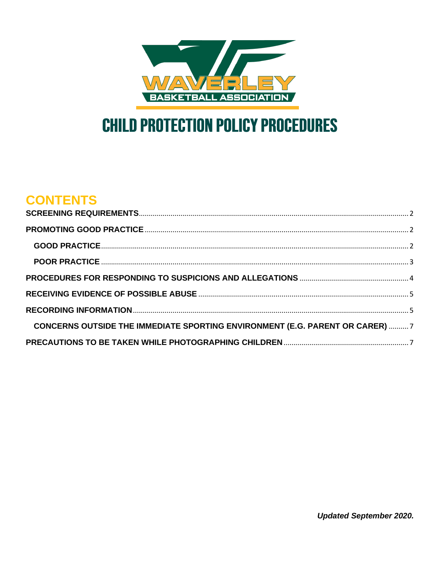

# **CHILD PROTECTION POLICY PROCEDURES**

## **CONTENTS**

| <b>CONCERNS OUTSIDE THE IMMEDIATE SPORTING ENVIRONMENT (E.G. PARENT OR CARER)  7</b> |  |
|--------------------------------------------------------------------------------------|--|
|                                                                                      |  |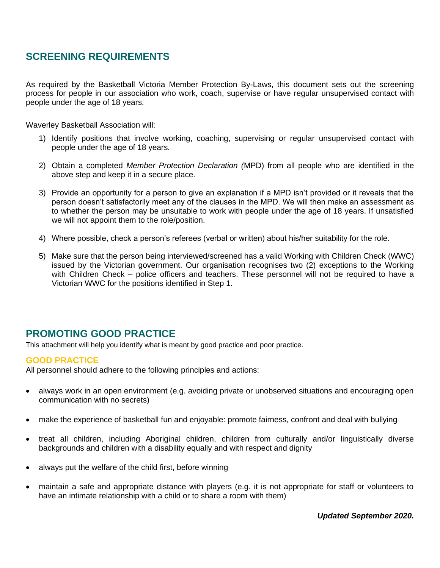## <span id="page-1-0"></span>**SCREENING REQUIREMENTS**

As required by the Basketball Victoria Member Protection By-Laws, this document sets out the screening process for people in our association who work, coach, supervise or have regular unsupervised contact with people under the age of 18 years.

Waverley Basketball Association will:

- 1) Identify positions that involve working, coaching, supervising or regular unsupervised contact with people under the age of 18 years.
- 2) Obtain a completed *Member Protection Declaration (*MPD) from all people who are identified in the above step and keep it in a secure place.
- 3) Provide an opportunity for a person to give an explanation if a MPD isn't provided or it reveals that the person doesn't satisfactorily meet any of the clauses in the MPD. We will then make an assessment as to whether the person may be unsuitable to work with people under the age of 18 years. If unsatisfied we will not appoint them to the role/position.
- 4) Where possible, check a person's referees (verbal or written) about his/her suitability for the role.
- 5) Make sure that the person being interviewed/screened has a valid Working with Children Check (WWC) issued by the Victorian government. Our organisation recognises two (2) exceptions to the Working with Children Check – police officers and teachers. These personnel will not be required to have a Victorian WWC for the positions identified in Step 1.

### <span id="page-1-1"></span>**PROMOTING GOOD PRACTICE**

This attachment will help you identify what is meant by good practice and poor practice.

#### <span id="page-1-2"></span>**GOOD PRACTICE**

All personnel should adhere to the following principles and actions:

- always work in an open environment (e.g. avoiding private or unobserved situations and encouraging open communication with no secrets)
- make the experience of basketball fun and enjoyable: promote fairness, confront and deal with bullying
- treat all children, including Aboriginal children, children from culturally and/or linguistically diverse backgrounds and children with a disability equally and with respect and dignity
- always put the welfare of the child first, before winning
- maintain a safe and appropriate distance with players (e.g. it is not appropriate for staff or volunteers to have an intimate relationship with a child or to share a room with them)

*Updated September 2020.*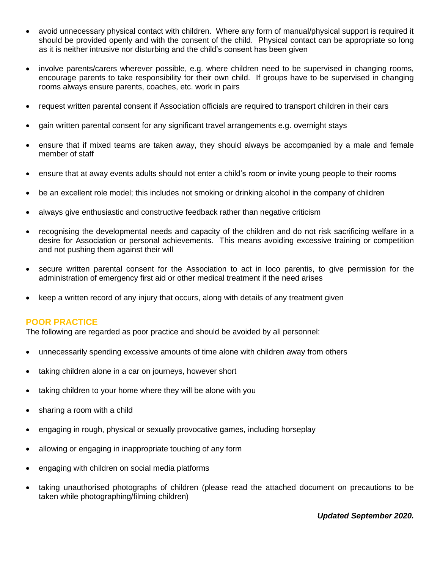- avoid unnecessary physical contact with children. Where any form of manual/physical support is required it should be provided openly and with the consent of the child. Physical contact can be appropriate so long as it is neither intrusive nor disturbing and the child's consent has been given
- involve parents/carers wherever possible, e.g. where children need to be supervised in changing rooms, encourage parents to take responsibility for their own child. If groups have to be supervised in changing rooms always ensure parents, coaches, etc. work in pairs
- request written parental consent if Association officials are required to transport children in their cars
- gain written parental consent for any significant travel arrangements e.g. overnight stays
- ensure that if mixed teams are taken away, they should always be accompanied by a male and female member of staff
- ensure that at away events adults should not enter a child's room or invite young people to their rooms
- be an excellent role model; this includes not smoking or drinking alcohol in the company of children
- always give enthusiastic and constructive feedback rather than negative criticism
- recognising the developmental needs and capacity of the children and do not risk sacrificing welfare in a desire for Association or personal achievements. This means avoiding excessive training or competition and not pushing them against their will
- secure written parental consent for the Association to act in loco parentis, to give permission for the administration of emergency first aid or other medical treatment if the need arises
- keep a written record of any injury that occurs, along with details of any treatment given

#### <span id="page-2-0"></span>**POOR PRACTICE**

The following are regarded as poor practice and should be avoided by all personnel:

- unnecessarily spending excessive amounts of time alone with children away from others
- taking children alone in a car on journeys, however short
- taking children to your home where they will be alone with you
- sharing a room with a child
- engaging in rough, physical or sexually provocative games, including horseplay
- allowing or engaging in inappropriate touching of any form
- engaging with children on social media platforms
- taking unauthorised photographs of children (please read the attached document on precautions to be taken while photographing/filming children)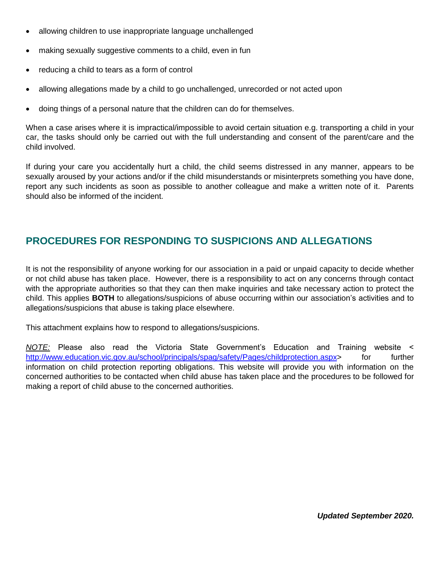- allowing children to use inappropriate language unchallenged
- making sexually suggestive comments to a child, even in fun
- reducing a child to tears as a form of control
- allowing allegations made by a child to go unchallenged, unrecorded or not acted upon
- doing things of a personal nature that the children can do for themselves.

When a case arises where it is impractical/impossible to avoid certain situation e.g. transporting a child in your car, the tasks should only be carried out with the full understanding and consent of the parent/care and the child involved.

If during your care you accidentally hurt a child, the child seems distressed in any manner, appears to be sexually aroused by your actions and/or if the child misunderstands or misinterprets something you have done, report any such incidents as soon as possible to another colleague and make a written note of it. Parents should also be informed of the incident.

### <span id="page-3-0"></span>**PROCEDURES FOR RESPONDING TO SUSPICIONS AND ALLEGATIONS**

It is not the responsibility of anyone working for our association in a paid or unpaid capacity to decide whether or not child abuse has taken place. However, there is a responsibility to act on any concerns through contact with the appropriate authorities so that they can then make inquiries and take necessary action to protect the child. This applies **BOTH** to allegations/suspicions of abuse occurring within our association's activities and to allegations/suspicions that abuse is taking place elsewhere.

This attachment explains how to respond to allegations/suspicions.

*NOTE:* Please also read the Victoria State Government's Education and Training website < [http://www.education.vic.gov.au/school/principals/spag/safety/Pages/childprotection.aspx>](http://www.education.vic.gov.au/school/principals/spag/safety/Pages/childprotection.aspx) for further information on child protection reporting obligations. This website will provide you with information on the concerned authorities to be contacted when child abuse has taken place and the procedures to be followed for making a report of child abuse to the concerned authorities.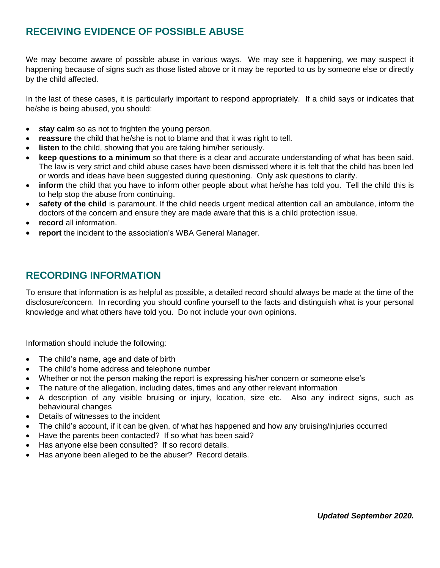## <span id="page-4-0"></span>**RECEIVING EVIDENCE OF POSSIBLE ABUSE**

We may become aware of possible abuse in various ways. We may see it happening, we may suspect it happening because of signs such as those listed above or it may be reported to us by someone else or directly by the child affected.

In the last of these cases, it is particularly important to respond appropriately. If a child says or indicates that he/she is being abused, you should:

- **stay calm** so as not to frighten the young person.
- **reassure** the child that he/she is not to blame and that it was right to tell.
- **listen** to the child, showing that you are taking him/her seriously.
- **keep questions to a minimum** so that there is a clear and accurate understanding of what has been said. The law is very strict and child abuse cases have been dismissed where it is felt that the child has been led or words and ideas have been suggested during questioning. Only ask questions to clarify.
- **inform** the child that you have to inform other people about what he/she has told you. Tell the child this is to help stop the abuse from continuing.
- **safety of the child** is paramount. If the child needs urgent medical attention call an ambulance, inform the doctors of the concern and ensure they are made aware that this is a child protection issue.
- **record** all information.
- **report** the incident to the association's WBA General Manager.

#### <span id="page-4-1"></span>**RECORDING INFORMATION**

To ensure that information is as helpful as possible, a detailed record should always be made at the time of the disclosure/concern. In recording you should confine yourself to the facts and distinguish what is your personal knowledge and what others have told you. Do not include your own opinions.

Information should include the following:

- The child's name, age and date of birth
- The child's home address and telephone number
- Whether or not the person making the report is expressing his/her concern or someone else's
- The nature of the allegation, including dates, times and any other relevant information
- A description of any visible bruising or injury, location, size etc. Also any indirect signs, such as behavioural changes
- Details of witnesses to the incident
- The child's account, if it can be given, of what has happened and how any bruising/injuries occurred
- Have the parents been contacted?If so what has been said?
- Has anyone else been consulted? If so record details.
- Has anyone been alleged to be the abuser? Record details.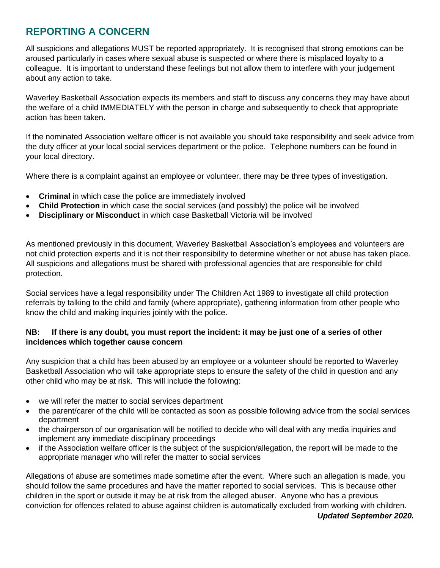## **REPORTING A CONCERN**

All suspicions and allegations MUST be reported appropriately. It is recognised that strong emotions can be aroused particularly in cases where sexual abuse is suspected or where there is misplaced loyalty to a colleague. It is important to understand these feelings but not allow them to interfere with your judgement about any action to take.

Waverley Basketball Association expects its members and staff to discuss any concerns they may have about the welfare of a child IMMEDIATELY with the person in charge and subsequently to check that appropriate action has been taken.

If the nominated Association welfare officer is not available you should take responsibility and seek advice from the duty officer at your local social services department or the police. Telephone numbers can be found in your local directory.

Where there is a complaint against an employee or volunteer, there may be three types of investigation.

- **Criminal** in which case the police are immediately involved
- **Child Protection** in which case the social services (and possibly) the police will be involved
- **Disciplinary or Misconduct** in which case Basketball Victoria will be involved

As mentioned previously in this document, Waverley Basketball Association's employees and volunteers are not child protection experts and it is not their responsibility to determine whether or not abuse has taken place. All suspicions and allegations must be shared with professional agencies that are responsible for child protection.

Social services have a legal responsibility under The Children Act 1989 to investigate all child protection referrals by talking to the child and family (where appropriate), gathering information from other people who know the child and making inquiries jointly with the police.

#### **NB: If there is any doubt, you must report the incident: it may be just one of a series of other incidences which together cause concern**

Any suspicion that a child has been abused by an employee or a volunteer should be reported to Waverley Basketball Association who will take appropriate steps to ensure the safety of the child in question and any other child who may be at risk. This will include the following:

- we will refer the matter to social services department
- the parent/carer of the child will be contacted as soon as possible following advice from the social services department
- the chairperson of our organisation will be notified to decide who will deal with any media inquiries and implement any immediate disciplinary proceedings
- if the Association welfare officer is the subject of the suspicion/allegation, the report will be made to the appropriate manager who will refer the matter to social services

Allegations of abuse are sometimes made sometime after the event. Where such an allegation is made, you should follow the same procedures and have the matter reported to social services. This is because other children in the sport or outside it may be at risk from the alleged abuser. Anyone who has a previous conviction for offences related to abuse against children is automatically excluded from working with children.

*Updated September 2020.*